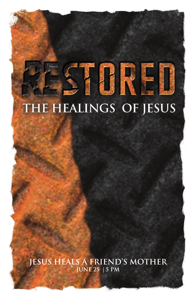# STORED THE HEALINGS OF JESUS

**Jesus heals a friend's mother June 25 | 5 pm**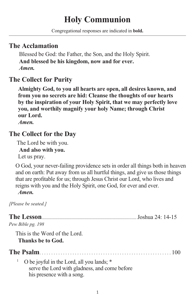# **Holy Communion**

Congregational responses are indicated in **bold.**

# **The Acclamation**

 Blessed be God: the Father, the Son, and the Holy Spirit.  **And blessed be his kingdom, now and for ever.** *Amen.*

# **The Collect for Purity**

**Almighty God, to you all hearts are open, all desires known, and from you no secrets are hid: Cleanse the thoughts of our hearts by the inspiration of your Holy Spirit, that we may perfectly love you, and worthily magnify your holy Name; through Christ our Lord.**

*Amen.*

# **The Collect for the Day**

The Lord be with you.

**And also with you.**

Let us pray.

O God, your never-failing providence sets in order all things both in heaven and on earth: Put away from us all hurtful things, and give us those things that are profitable for us; through Jesus Christ our Lord, who lives and reigns with you and the Holy Spirit, one God, for ever and ever. *Amen.*

*[Please be seated.]*

| Pew Bible pg. 198                                                                                                       |  |
|-------------------------------------------------------------------------------------------------------------------------|--|
| This is the Word of the Lord.                                                                                           |  |
| <b>Thanks be to God.</b>                                                                                                |  |
|                                                                                                                         |  |
| O be joyful in the Lord, all you lands; *<br>serve the Lord with gladness, and come before<br>his presence with a song. |  |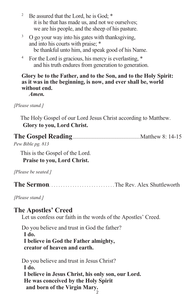- <sup>2</sup> Be assured that the Lord, he is God:  $*$  it is he that has made us, and not we ourselves; we are his people, and the sheep of his pasture.
- <sup>3</sup> O go your way into his gates with thanksgiving, and into his courts with praise; \* be thankful unto him, and speak good of his Name.
- <sup>4</sup> For the Lord is gracious, his mercy is everlasting,  $*$ and his truth endures from generation to generation.

#### **Glory be to the Father, and to the Son, and to the Holy Spirit: as it was in the beginning, is now, and ever shall be, world without end.**

*Amen.*

*[Please stand.]*

The Holy Gospel of our Lord Jesus Christ according to Matthew. **Glory to you, Lord Christ.**

| Pew Bible pg. 813 |  |
|-------------------|--|

This is the Gospel of the Lord.

**Praise to you, Lord Christ.**

*[Please be seated.]*

**The Sermon**. . . . . . . . . . . . . . . . . . . . . . . . . . . .The Rev. Alex Shuttleworth

*[Please stand.]*

# **The Apostles' Creed**

Let us confess our faith in the words of the Apostles' Creed.

Do you believe and trust in God the father?  **I do. I believe in God the Father almighty, creator of heaven and earth.**

Do you believe and trust in Jesus Christ?  **I do. I believe in Jesus Christ, his only son, our Lord. He was conceived by the Holy Spirit and born of the Virgin Mary.** 2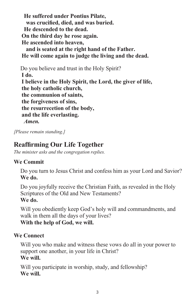**He suffered under Pontius Pilate, was crucified, died, and was buried. He descended to the dead. On the third day he rose again. He ascended into heaven, and is seated at the right hand of the Father. He will come again to judge the living and the dead.** Do you believe and trust in the Holy Spirit?

**I do. I believe in the Holy Spirit, the Lord, the giver of life, the holy catholic church, the communion of saints, the forgiveness of sins, the resurrecetion of the body, and the life everlasting.** *Amen.*

*[Please remain standing.]*

# **Reaffirming Our Life Together**

*The minister asks and the congregation replies.*

#### **We Commit**

Do you turn to Jesus Christ and confess him as your Lord and Savior? **We do.**

Do you joyfully receive the Christian Faith, as revealed in the Holy Scriptures of the Old and New Testaments? **We do.**

Will you obediently keep God's holy will and commandments, and walk in them all the days of your lives? **With the help of God, we will.**

#### **We Connect**

Will you who make and witness these vows do all in your power to support one another, in your life in Christ? **We will.**

Will you participate in worship, study, and fellowship? **We will.**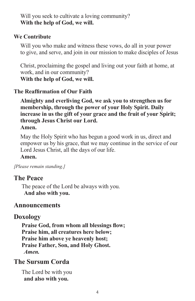Will you seek to cultivate a loving community? **With the help of God, we will.**

#### **We Contribute**

Will you who make and witness these vows, do all in your power to give, and serve, and join in our mission to make disciples of Jesus

Christ, proclaiming the gospel and living out your faith at home, at work, and in our community? **With the help of God, we will.**

#### **The Reaffirmation of Our Faith**

**Almighty and everliving God, we ask you to strengthen us for membership, through the power of your Holy Spirit. Daily increase in us the gift of your grace and the fruit of your Spirit; through Jesus Christ our Lord.** 

#### **Amen.**

May the Holy Spirit who has begun a good work in us, direct and empower us by his grace, that we may continue in the service of our Lord Jesus Christ, all the days of our life.

#### **Amen.**

*[Please remain standing.]* 

# **The Peace**

The peace of the Lord be always with you.  **And also with you.**

#### **Announcements**

# **Doxology**

**Praise God, from whom all blessings flow; Praise him, all creatures here below; Praise him above ye heavenly host; Praise Father, Son, and Holy Ghost.** *Amen.*

# **The Sursum Corda**

The Lord be with you  **and also with you.**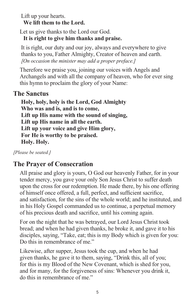Lift up your hearts.  **We lift them to the Lord.**

Let us give thanks to the Lord our God.  **It is right to give him thanks and praise.**

It is right, our duty and our joy, always and everywhere to give thanks to you, Father Almighty, Creator of heaven and earth. *[On occasion the minister may add a proper preface.]*

Therefore we praise you, joining our voices with Angels and Archangels and with all the company of heaven, who for ever sing this hymn to proclaim the glory of your Name:

#### **The Sanctus**

**Holy, holy, holy is the Lord, God Almighty Who was and is, and is to come, Lift up His name with the sound of singing, Lift up His name in all the earth. Lift up your voice and give Him glory, For He is worthy to be praised. Holy. Holy.**

*[Please be seated.]*

# **The Prayer of Consecration**

All praise and glory is yours, O God our heavenly Father, for in your tender mercy, you gave your only Son Jesus Christ to suffer death upon the cross for our redemption. He made there, by his one offering of himself once offered, a full, perfect, and sufficient sacrifice, and satisfaction, for the sins of the whole world; and he instituted, and in his Holy Gospel commanded us to continue, a perpetual memory of his precious death and sacrifice, until his coming again.

For on the night that he was betrayed, our Lord Jesus Christ took bread; and when he had given thanks, he broke it, and gave it to his disciples, saying, "Take, eat; this is my Body which is given for you: Do this in remembrance of me."

Likewise, after supper, Jesus took the cup, and when he had given thanks, he gave it to them, saying, "Drink this, all of you; for this is my Blood of the New Covenant, which is shed for you, and for many, for the forgiveness of sins: Whenever you drink it, do this in remembrance of me."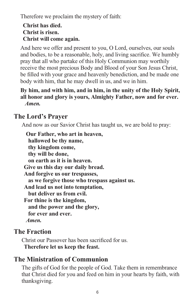Therefore we proclaim the mystery of faith:

#### **Christ has died. Christ is risen. Christ will come again.**

And here we offer and present to you, O Lord, ourselves, our souls and bodies, to be a reasonable, holy, and living sacrifice. We humbly pray that all who partake of this Holy Communion may worthily receive the most precious Body and Blood of your Son Jesus Christ, be filled with your grace and heavenly benediction, and be made one body with him, that he may dwell in us, and we in him.

#### **By him, and with him, and in him, in the unity of the Holy Spirit, all honor and glory is yours, Almighty Father, now and for ever.** *Amen.*

# **The Lord's Prayer**

And now as our Savior Christ has taught us, we are bold to pray:

 **Our Father, who art in heaven, hallowed be thy name, thy kingdom come, thy will be done, on earth as it is in heaven. Give us this day our daily bread. And forgive us our trespasses, as we forgive those who trespass against us. And lead us not into temptation, but deliver us from evil. For thine is the kingdom, and the power and the glory, for ever and ever.** *Amen.* 

# **The Fraction**

Christ our Passover has been sacrificed for us.  **Therefore let us keep the feast.**

# **The Ministration of Communion**

The gifts of God for the people of God. Take them in remembrance that Christ died for you and feed on him in your hearts by faith, with thanksgiving.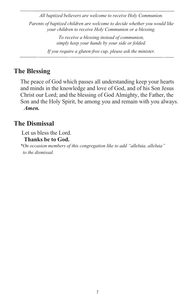*All baptized believers are welcome to receive Holy Communion.* 

*Parents of baptized children are welcome to decide whether you would like your children to receive Holy Communion or a blessing.* 

> *To receive a blessing instead of communion, simply keep your hands by your side or folded.*

*If you require a gluten-free cup, please ask the minister.*

# **The Blessing**

The peace of God which passes all understanding keep your hearts and minds in the knowledge and love of God, and of his Son Jesus Christ our Lord; and the blessing of God Almighty, the Father, the Son and the Holy Spirit, be among you and remain with you always.  *Amen.*

# **The Dismissal**

Let us bless the Lord.

#### **Thanks be to God.**

*\*On occasion members of this congregation like to add "alleluia, alleluia" to the dismissal.*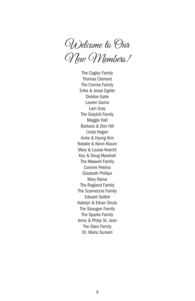Welcome to Our New Members!

The Cagley Family Thomas Clement The Cromie Family Erika & Jesse Egeler Debbie Galle Lauren Gama Lam Gray The Graybill Family Maggie Hall Barbara & Don Hill Linda Hogan Anita & Hyong Kim Natalie & Kevin Klaum Mary & Louise Knecht Kay & Doug Marshall The Maxwell Family Corinne Petrina Elizabeth Phillips Mary Reina The Rogland Family The Scarneccia Family Edward Seifert Katelyn & Ethan Shula The Skaugen Family The Sparks Family Anna & Philip St. Jean The Starz Family Dr. Maria Sunseri